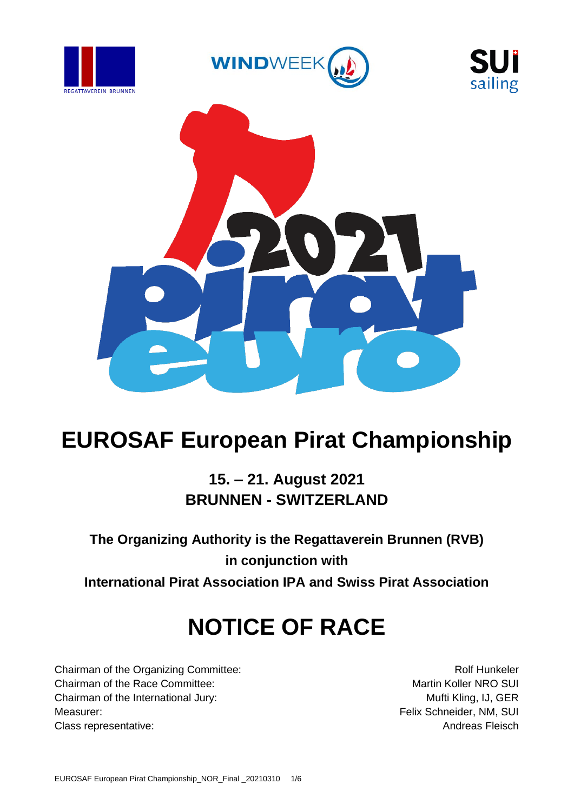







## **EUROSAF European Pirat Championship**

## **15. – 21. August 2021 BRUNNEN - SWITZERLAND**

**The Organizing Authority is the Regattaverein Brunnen (RVB) in conjunction with International Pirat Association IPA and Swiss Pirat Association**

## **NOTICE OF RACE**

Chairman of the Organizing Committee: Rolf Hunkeler Chairman of the Race Committee: Martin Koller NRO SUI Chairman of the International Jury: Mufti Kling, IJ, GER Measurer: Felix Schneider, NM, SUI Class representative: **Andreas Fleisch** Class representative: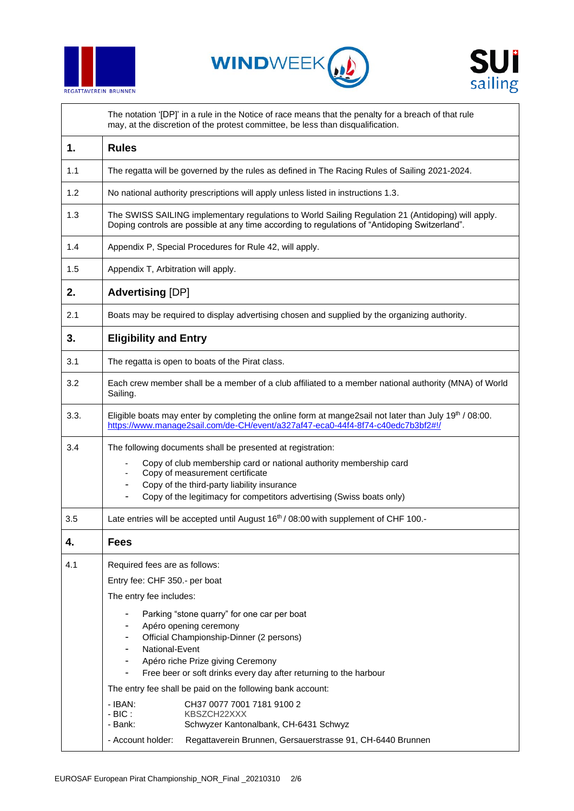





The notation '[DP]' in a rule in the Notice of race means that the penalty for a breach of that rule may, at the discretion of the protest committee, be less than disqualification.

| The regatta will be governed by the rules as defined in The Racing Rules of Sailing 2021-2024.                                                                                                                                                                                                                                                                                                                                                                                                                                                                                                                        |  |  |  |  |
|-----------------------------------------------------------------------------------------------------------------------------------------------------------------------------------------------------------------------------------------------------------------------------------------------------------------------------------------------------------------------------------------------------------------------------------------------------------------------------------------------------------------------------------------------------------------------------------------------------------------------|--|--|--|--|
| No national authority prescriptions will apply unless listed in instructions 1.3.                                                                                                                                                                                                                                                                                                                                                                                                                                                                                                                                     |  |  |  |  |
| The SWISS SAILING implementary regulations to World Sailing Regulation 21 (Antidoping) will apply.<br>Doping controls are possible at any time according to regulations of "Antidoping Switzerland".                                                                                                                                                                                                                                                                                                                                                                                                                  |  |  |  |  |
| Appendix P, Special Procedures for Rule 42, will apply.                                                                                                                                                                                                                                                                                                                                                                                                                                                                                                                                                               |  |  |  |  |
| Appendix T, Arbitration will apply.                                                                                                                                                                                                                                                                                                                                                                                                                                                                                                                                                                                   |  |  |  |  |
| <b>Advertising [DP]</b>                                                                                                                                                                                                                                                                                                                                                                                                                                                                                                                                                                                               |  |  |  |  |
| Boats may be required to display advertising chosen and supplied by the organizing authority.                                                                                                                                                                                                                                                                                                                                                                                                                                                                                                                         |  |  |  |  |
| <b>Eligibility and Entry</b>                                                                                                                                                                                                                                                                                                                                                                                                                                                                                                                                                                                          |  |  |  |  |
| The regatta is open to boats of the Pirat class.                                                                                                                                                                                                                                                                                                                                                                                                                                                                                                                                                                      |  |  |  |  |
| Each crew member shall be a member of a club affiliated to a member national authority (MNA) of World<br>Sailing.                                                                                                                                                                                                                                                                                                                                                                                                                                                                                                     |  |  |  |  |
| Eligible boats may enter by completing the online form at mange2sail not later than July 19th / 08:00.<br>https://www.manage2sail.com/de-CH/event/a327af47-eca0-44f4-8f74-c40edc7b3bf2#!/                                                                                                                                                                                                                                                                                                                                                                                                                             |  |  |  |  |
| The following documents shall be presented at registration:<br>Copy of club membership card or national authority membership card<br>Copy of measurement certificate<br>Copy of the third-party liability insurance<br>Copy of the legitimacy for competitors advertising (Swiss boats only)                                                                                                                                                                                                                                                                                                                          |  |  |  |  |
| Late entries will be accepted until August 16 <sup>th</sup> / 08:00 with supplement of CHF 100.-                                                                                                                                                                                                                                                                                                                                                                                                                                                                                                                      |  |  |  |  |
| <b>Fees</b>                                                                                                                                                                                                                                                                                                                                                                                                                                                                                                                                                                                                           |  |  |  |  |
| Required fees are as follows:<br>Entry fee: CHF 350 .- per boat<br>The entry fee includes:<br>Parking "stone quarry" for one car per boat<br>Apéro opening ceremony<br>Official Championship-Dinner (2 persons)<br>National-Event<br>Apéro riche Prize giving Ceremony<br>Free beer or soft drinks every day after returning to the harbour<br>The entry fee shall be paid on the following bank account:<br>$-$ IBAN:<br>CH37 0077 7001 7181 9100 2<br>$-BIC:$<br>KBSZCH22XXX<br>- Bank:<br>Schwyzer Kantonalbank, CH-6431 Schwyz<br>- Account holder:<br>Regattaverein Brunnen, Gersauerstrasse 91, CH-6440 Brunnen |  |  |  |  |
|                                                                                                                                                                                                                                                                                                                                                                                                                                                                                                                                                                                                                       |  |  |  |  |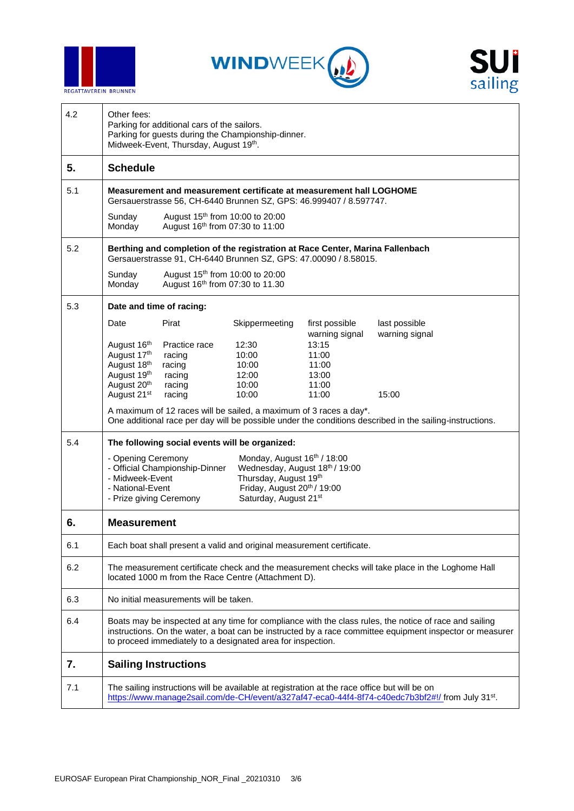





| 4.2 | Other fees:<br>Parking for additional cars of the sailors.<br>Parking for guests during the Championship-dinner.<br>Midweek-Event, Thursday, August 19th.                                                                                                                         |                                                |                         |                                           |                                 |  |
|-----|-----------------------------------------------------------------------------------------------------------------------------------------------------------------------------------------------------------------------------------------------------------------------------------|------------------------------------------------|-------------------------|-------------------------------------------|---------------------------------|--|
| 5.  | <b>Schedule</b>                                                                                                                                                                                                                                                                   |                                                |                         |                                           |                                 |  |
| 5.1 | Measurement and measurement certificate at measurement hall LOGHOME<br>Gersauerstrasse 56, CH-6440 Brunnen SZ, GPS: 46.999407 / 8.597747.                                                                                                                                         |                                                |                         |                                           |                                 |  |
|     | August 15 <sup>th</sup> from 10:00 to 20:00<br>Sunday<br>August 16th from 07:30 to 11:00<br>Monday                                                                                                                                                                                |                                                |                         |                                           |                                 |  |
| 5.2 | Berthing and completion of the registration at Race Center, Marina Fallenbach<br>Gersauerstrasse 91, CH-6440 Brunnen SZ, GPS: 47.00090 / 8.58015.                                                                                                                                 |                                                |                         |                                           |                                 |  |
|     | August 15 <sup>th</sup> from 10:00 to 20:00<br>Sunday<br>August 16 <sup>th</sup> from 07:30 to 11.30<br>Monday                                                                                                                                                                    |                                                |                         |                                           |                                 |  |
| 5.3 | Date and time of racing:                                                                                                                                                                                                                                                          |                                                |                         |                                           |                                 |  |
|     | Date<br>August 16th                                                                                                                                                                                                                                                               | Pirat<br>Practice race                         | Skippermeeting<br>12:30 | first possible<br>warning signal<br>13:15 | last possible<br>warning signal |  |
|     | August 17th                                                                                                                                                                                                                                                                       | racing                                         | 10:00                   | 11:00                                     |                                 |  |
|     | August 18th                                                                                                                                                                                                                                                                       | racing                                         | 10:00                   | 11:00                                     |                                 |  |
|     | August 19th                                                                                                                                                                                                                                                                       | racing                                         | 12:00                   | 13:00                                     |                                 |  |
|     | August 20 <sup>th</sup><br>August 21 <sup>st</sup>                                                                                                                                                                                                                                | racing<br>racing                               | 10:00<br>10:00          | 11:00<br>11:00                            | 15:00                           |  |
|     | A maximum of 12 races will be sailed, a maximum of 3 races a day*.<br>One additional race per day will be possible under the conditions described in the sailing-instructions.                                                                                                    |                                                |                         |                                           |                                 |  |
| 5.4 |                                                                                                                                                                                                                                                                                   | The following social events will be organized: |                         |                                           |                                 |  |
|     | Monday, August 16th / 18:00<br>- Opening Ceremony<br>- Official Championship-Dinner<br>Wednesday, August 18th / 19:00<br>Thursday, August 19th<br>- Midweek-Event<br>Friday, August 20th / 19:00<br>- National-Event<br>Saturday, August 21st<br>- Prize giving Ceremony          |                                                |                         |                                           |                                 |  |
| 6.  | <b>Measurement</b>                                                                                                                                                                                                                                                                |                                                |                         |                                           |                                 |  |
| 6.1 | Each boat shall present a valid and original measurement certificate.                                                                                                                                                                                                             |                                                |                         |                                           |                                 |  |
| 6.2 | The measurement certificate check and the measurement checks will take place in the Loghome Hall<br>located 1000 m from the Race Centre (Attachment D).                                                                                                                           |                                                |                         |                                           |                                 |  |
| 6.3 | No initial measurements will be taken.                                                                                                                                                                                                                                            |                                                |                         |                                           |                                 |  |
| 6.4 | Boats may be inspected at any time for compliance with the class rules, the notice of race and sailing<br>instructions. On the water, a boat can be instructed by a race committee equipment inspector or measurer<br>to proceed immediately to a designated area for inspection. |                                                |                         |                                           |                                 |  |
| 7.  | <b>Sailing Instructions</b>                                                                                                                                                                                                                                                       |                                                |                         |                                           |                                 |  |
| 7.1 | The sailing instructions will be available at registration at the race office but will be on<br>https://www.manage2sail.com/de-CH/event/a327af47-eca0-44f4-8f74-c40edc7b3bf2#!/ from July 31st.                                                                                   |                                                |                         |                                           |                                 |  |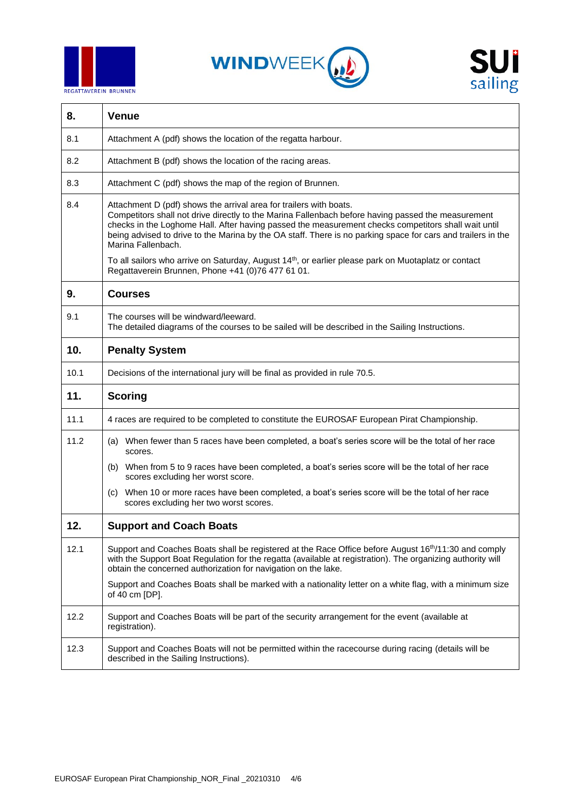





| 8.   | <b>Venue</b>                                                                                                                                                                                                                                                                                                                                                                                                          |  |  |  |  |
|------|-----------------------------------------------------------------------------------------------------------------------------------------------------------------------------------------------------------------------------------------------------------------------------------------------------------------------------------------------------------------------------------------------------------------------|--|--|--|--|
| 8.1  | Attachment A (pdf) shows the location of the regatta harbour.                                                                                                                                                                                                                                                                                                                                                         |  |  |  |  |
| 8.2  | Attachment B (pdf) shows the location of the racing areas.                                                                                                                                                                                                                                                                                                                                                            |  |  |  |  |
| 8.3  | Attachment C (pdf) shows the map of the region of Brunnen.                                                                                                                                                                                                                                                                                                                                                            |  |  |  |  |
| 8.4  | Attachment D (pdf) shows the arrival area for trailers with boats.<br>Competitors shall not drive directly to the Marina Fallenbach before having passed the measurement<br>checks in the Loghome Hall. After having passed the measurement checks competitors shall wait until<br>being advised to drive to the Marina by the OA staff. There is no parking space for cars and trailers in the<br>Marina Fallenbach. |  |  |  |  |
|      | To all sailors who arrive on Saturday, August 14 <sup>th</sup> , or earlier please park on Muotaplatz or contact<br>Regattaverein Brunnen, Phone +41 (0)76 477 61 01.                                                                                                                                                                                                                                                 |  |  |  |  |
| 9.   | <b>Courses</b>                                                                                                                                                                                                                                                                                                                                                                                                        |  |  |  |  |
| 9.1  | The courses will be windward/leeward.<br>The detailed diagrams of the courses to be sailed will be described in the Sailing Instructions.                                                                                                                                                                                                                                                                             |  |  |  |  |
| 10.  | <b>Penalty System</b>                                                                                                                                                                                                                                                                                                                                                                                                 |  |  |  |  |
| 10.1 | Decisions of the international jury will be final as provided in rule 70.5.                                                                                                                                                                                                                                                                                                                                           |  |  |  |  |
|      | <b>Scoring</b>                                                                                                                                                                                                                                                                                                                                                                                                        |  |  |  |  |
| 11.  |                                                                                                                                                                                                                                                                                                                                                                                                                       |  |  |  |  |
| 11.1 | 4 races are required to be completed to constitute the EUROSAF European Pirat Championship.                                                                                                                                                                                                                                                                                                                           |  |  |  |  |
| 11.2 | (a) When fewer than 5 races have been completed, a boat's series score will be the total of her race<br>scores.                                                                                                                                                                                                                                                                                                       |  |  |  |  |
|      | (b) When from 5 to 9 races have been completed, a boat's series score will be the total of her race<br>scores excluding her worst score.                                                                                                                                                                                                                                                                              |  |  |  |  |
|      | When 10 or more races have been completed, a boat's series score will be the total of her race<br>(C)<br>scores excluding her two worst scores.                                                                                                                                                                                                                                                                       |  |  |  |  |
| 12.  | <b>Support and Coach Boats</b>                                                                                                                                                                                                                                                                                                                                                                                        |  |  |  |  |
| 12.1 | Support and Coaches Boats shall be registered at the Race Office before August 16 <sup>th</sup> /11:30 and comply<br>with the Support Boat Regulation for the regatta (available at registration). The organizing authority will<br>obtain the concerned authorization for navigation on the lake.                                                                                                                    |  |  |  |  |
|      | Support and Coaches Boats shall be marked with a nationality letter on a white flag, with a minimum size<br>of 40 cm [DP].                                                                                                                                                                                                                                                                                            |  |  |  |  |
| 12.2 | Support and Coaches Boats will be part of the security arrangement for the event (available at<br>registration).                                                                                                                                                                                                                                                                                                      |  |  |  |  |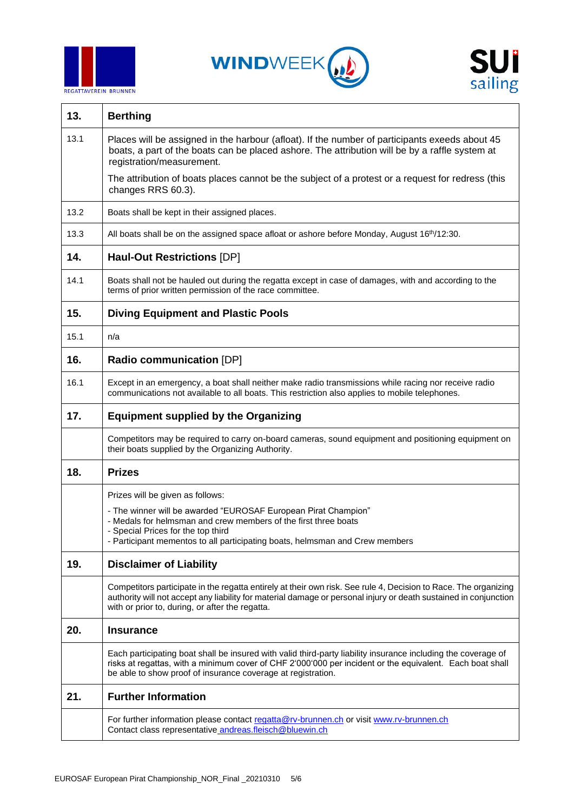





| 13.  | <b>Berthing</b>                                                                                                                                                                                                                                                                           |  |  |  |  |
|------|-------------------------------------------------------------------------------------------------------------------------------------------------------------------------------------------------------------------------------------------------------------------------------------------|--|--|--|--|
| 13.1 | Places will be assigned in the harbour (afloat). If the number of participants exeeds about 45<br>boats, a part of the boats can be placed ashore. The attribution will be by a raffle system at<br>registration/measurement.                                                             |  |  |  |  |
|      | The attribution of boats places cannot be the subject of a protest or a request for redress (this<br>changes RRS 60.3).                                                                                                                                                                   |  |  |  |  |
| 13.2 | Boats shall be kept in their assigned places.                                                                                                                                                                                                                                             |  |  |  |  |
| 13.3 | All boats shall be on the assigned space afloat or ashore before Monday, August 16 <sup>th</sup> /12:30.                                                                                                                                                                                  |  |  |  |  |
| 14.  | <b>Haul-Out Restrictions [DP]</b>                                                                                                                                                                                                                                                         |  |  |  |  |
| 14.1 | Boats shall not be hauled out during the regatta except in case of damages, with and according to the<br>terms of prior written permission of the race committee.                                                                                                                         |  |  |  |  |
| 15.  | <b>Diving Equipment and Plastic Pools</b>                                                                                                                                                                                                                                                 |  |  |  |  |
| 15.1 | n/a                                                                                                                                                                                                                                                                                       |  |  |  |  |
| 16.  | Radio communication [DP]                                                                                                                                                                                                                                                                  |  |  |  |  |
| 16.1 | Except in an emergency, a boat shall neither make radio transmissions while racing nor receive radio<br>communications not available to all boats. This restriction also applies to mobile telephones.                                                                                    |  |  |  |  |
| 17.  | <b>Equipment supplied by the Organizing</b>                                                                                                                                                                                                                                               |  |  |  |  |
|      | Competitors may be required to carry on-board cameras, sound equipment and positioning equipment on<br>their boats supplied by the Organizing Authority.                                                                                                                                  |  |  |  |  |
| 18.  | <b>Prizes</b>                                                                                                                                                                                                                                                                             |  |  |  |  |
|      | Prizes will be given as follows:                                                                                                                                                                                                                                                          |  |  |  |  |
|      | - The winner will be awarded "EUROSAF European Pirat Champion"<br>- Medals for helmsman and crew members of the first three boats<br>- Special Prices for the top third                                                                                                                   |  |  |  |  |
|      | - Participant mementos to all participating boats, helmsman and Crew members                                                                                                                                                                                                              |  |  |  |  |
| 19.  | <b>Disclaimer of Liability</b>                                                                                                                                                                                                                                                            |  |  |  |  |
|      | Competitors participate in the regatta entirely at their own risk. See rule 4, Decision to Race. The organizing<br>authority will not accept any liability for material damage or personal injury or death sustained in conjunction<br>with or prior to, during, or after the regatta.    |  |  |  |  |
| 20.  | <b>Insurance</b>                                                                                                                                                                                                                                                                          |  |  |  |  |
|      | Each participating boat shall be insured with valid third-party liability insurance including the coverage of<br>risks at regattas, with a minimum cover of CHF 2'000'000 per incident or the equivalent. Each boat shall<br>be able to show proof of insurance coverage at registration. |  |  |  |  |
| 21.  | <b>Further Information</b>                                                                                                                                                                                                                                                                |  |  |  |  |
|      | For further information please contact regatta@rv-brunnen.ch or visit www.rv-brunnen.ch<br>Contact class representative andreas.fleisch@bluewin.ch                                                                                                                                        |  |  |  |  |